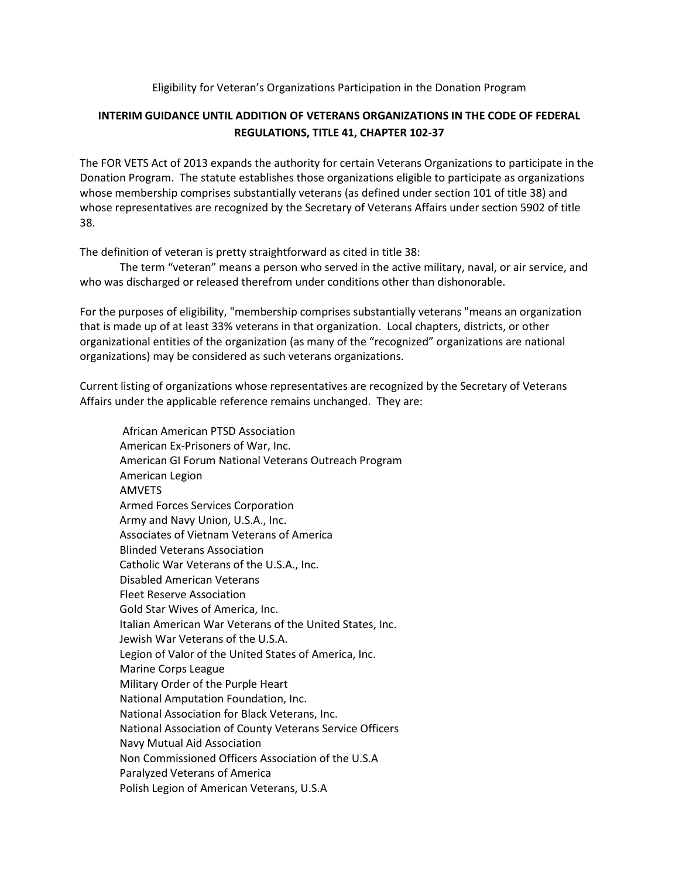## Eligibility for Veteran's Organizations Participation in the Donation Program

## **INTERIM GUIDANCE UNTIL ADDITION OF VETERANS ORGANIZATIONS IN THE CODE OF FEDERAL REGULATIONS, TITLE 41, CHAPTER 102-37**

The FOR VETS Act of 2013 expands the authority for certain Veterans Organizations to participate in the Donation Program. The statute establishes those organizations eligible to participate as organizations whose membership comprises substantially veterans (as defined under section 101 of title 38) and whose representatives are recognized by the Secretary of Veterans Affairs under section 5902 of title 38.

The definition of veteran is pretty straightforward as cited in title 38:

The term "veteran" means a person who served in the active military, naval, or air service, and who was discharged or released therefrom under conditions other than dishonorable.

For the purposes of eligibility, "membership comprises substantially veterans "means an organization that is made up of at least 33% veterans in that organization. Local chapters, districts, or other organizational entities of the organization (as many of the "recognized" organizations are national organizations) may be considered as such veterans organizations.

Current listing of organizations whose representatives are recognized by the Secretary of Veterans Affairs under the applicable reference remains unchanged. They are:

African American PTSD Association American Ex-Prisoners of War, Inc. American GI Forum National Veterans Outreach Program American Legion AMVETS Armed Forces Services Corporation Army and Navy Union, U.S.A., Inc. Associates of Vietnam Veterans of America Blinded Veterans Association Catholic War Veterans of the U.S.A., Inc. Disabled American Veterans Fleet Reserve Association Gold Star Wives of America, Inc. Italian American War Veterans of the United States, Inc. Jewish War Veterans of the U.S.A. Legion of Valor of the United States of America, Inc. Marine Corps League Military Order of the Purple Heart National Amputation Foundation, Inc. National Association for Black Veterans, Inc. National Association of County Veterans Service Officers Navy Mutual Aid Association Non Commissioned Officers Association of the U.S.A Paralyzed Veterans of America Polish Legion of American Veterans, U.S.A